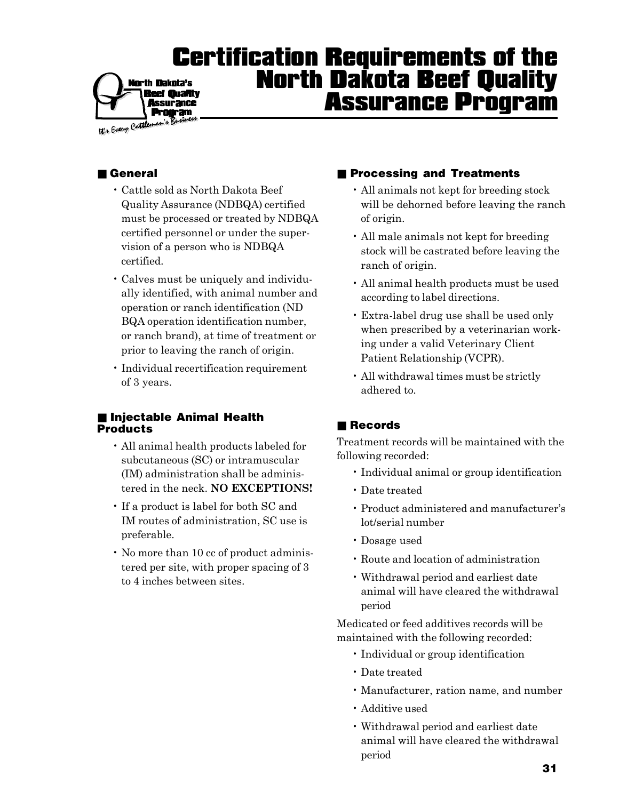#### Certification Requirements of the North Dakota Beef Quality **North Dakota's** ef Quality Assurance Program **Issurance Program**

We Every Cattles

## ■ General

- Cattle sold as North Dakota Beef Quality Assurance (NDBQA) certified must be processed or treated by NDBQA certified personnel or under the supervision of a person who is NDBQA certified.
- Calves must be uniquely and individually identified, with animal number and operation or ranch identification (ND BQA operation identification number, or ranch brand), at time of treatment or prior to leaving the ranch of origin.
- Individual recertification requirement of 3 years.

### ■ Injectable Animal Health Products

- All animal health products labeled for subcutaneous (SC) or intramuscular (IM) administration shall be administered in the neck. **NO EXCEPTIONS!**
- If a product is label for both SC and IM routes of administration, SC use is preferable.
- No more than 10 cc of product administered per site, with proper spacing of 3 to 4 inches between sites.

### ■ Processing and Treatments

- All animals not kept for breeding stock will be dehorned before leaving the ranch of origin.
- All male animals not kept for breeding stock will be castrated before leaving the ranch of origin.
- All animal health products must be used according to label directions.
- Extra-label drug use shall be used only when prescribed by a veterinarian working under a valid Veterinary Client Patient Relationship (VCPR).
- All withdrawal times must be strictly adhered to.

# ■ Records

Treatment records will be maintained with the following recorded:

- Individual animal or group identification
- Date treated
- Product administered and manufacturer's lot/serial number
- Dosage used
- Route and location of administration
- Withdrawal period and earliest date animal will have cleared the withdrawal period

Medicated or feed additives records will be maintained with the following recorded:

- Individual or group identification
- Date treated
- Manufacturer, ration name, and number
- Additive used
- Withdrawal period and earliest date animal will have cleared the withdrawal period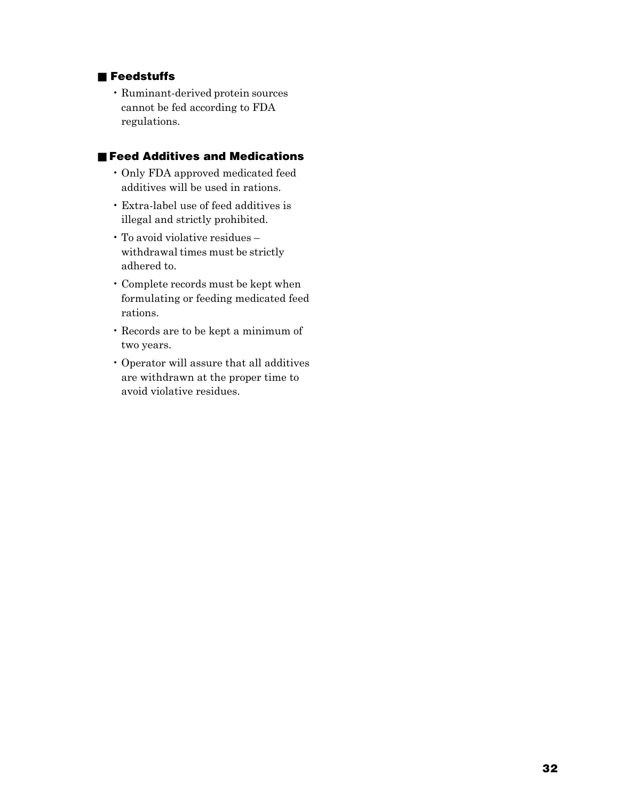### ■ Feedstuffs

• Ruminant-derived protein sources cannot be fed according to FDA regulations.

### ■ Feed Additives and Medications

- Only FDA approved medicated feed additives will be used in rations.
- Extra-label use of feed additives is illegal and strictly prohibited.
- To avoid violative residues withdrawal times must be strictly adhered to.
- Complete records must be kept when formulating or feeding medicated feed rations.
- Records are to be kept a minimum of two years.
- Operator will assure that all additives are withdrawn at the proper time to avoid violative residues.